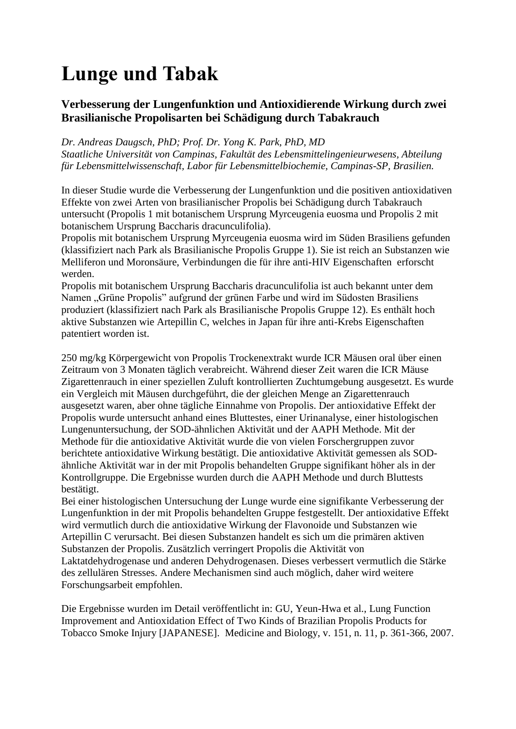## **Lunge und Tabak**

### **Verbesserung der Lungenfunktion und Antioxidierende Wirkung durch zwei Brasilianische Propolisarten bei Schädigung durch Tabakrauch**

#### *Dr. Andreas Daugsch, PhD; Prof. Dr. Yong K. Park, PhD, MD*

*Staatliche Universität von Campinas, Fakultät des Lebensmittelingenieurwesens, Abteilung für Lebensmittelwissenschaft, Labor für Lebensmittelbiochemie, Campinas-SP, Brasilien.*

In dieser Studie wurde die Verbesserung der Lungenfunktion und die positiven antioxidativen Effekte von zwei Arten von brasilianischer Propolis bei Schädigung durch Tabakrauch untersucht (Propolis 1 mit botanischem Ursprung Myrceugenia euosma und Propolis 2 mit botanischem Ursprung Baccharis dracunculifolia).

Propolis mit botanischem Ursprung Myrceugenia euosma wird im Süden Brasiliens gefunden (klassifiziert nach Park als Brasilianische Propolis Gruppe 1). Sie ist reich an Substanzen wie Melliferon und Moronsäure, Verbindungen die für ihre anti-HIV Eigenschaften erforscht werden.

Propolis mit botanischem Ursprung Baccharis dracunculifolia ist auch bekannt unter dem Namen "Grüne Propolis" aufgrund der grünen Farbe und wird im Südosten Brasiliens produziert (klassifiziert nach Park als Brasilianische Propolis Gruppe 12). Es enthält hoch aktive Substanzen wie Artepillin C, welches in Japan für ihre anti-Krebs Eigenschaften patentiert worden ist.

250 mg/kg Körpergewicht von Propolis Trockenextrakt wurde ICR Mäusen oral über einen Zeitraum von 3 Monaten täglich verabreicht. Während dieser Zeit waren die ICR Mäuse Zigarettenrauch in einer speziellen Zuluft kontrollierten Zuchtumgebung ausgesetzt. Es wurde ein Vergleich mit Mäusen durchgeführt, die der gleichen Menge an Zigarettenrauch ausgesetzt waren, aber ohne tägliche Einnahme von Propolis. Der antioxidative Effekt der Propolis wurde untersucht anhand eines Bluttestes, einer Urinanalyse, einer histologischen Lungenuntersuchung, der SOD-ähnlichen Aktivität und der AAPH Methode. Mit der Methode für die antioxidative Aktivität wurde die von vielen Forschergruppen zuvor berichtete antioxidative Wirkung bestätigt. Die antioxidative Aktivität gemessen als SODähnliche Aktivität war in der mit Propolis behandelten Gruppe signifikant höher als in der Kontrollgruppe. Die Ergebnisse wurden durch die AAPH Methode und durch Bluttests bestätigt.

Bei einer histologischen Untersuchung der Lunge wurde eine signifikante Verbesserung der Lungenfunktion in der mit Propolis behandelten Gruppe festgestellt. Der antioxidative Effekt wird vermutlich durch die antioxidative Wirkung der Flavonoide und Substanzen wie Artepillin C verursacht. Bei diesen Substanzen handelt es sich um die primären aktiven Substanzen der Propolis. Zusätzlich verringert Propolis die Aktivität von Laktatdehydrogenase und anderen Dehydrogenasen. Dieses verbessert vermutlich die Stärke des zellulären Stresses. Andere Mechanismen sind auch möglich, daher wird weitere Forschungsarbeit empfohlen.

Die Ergebnisse wurden im Detail veröffentlicht in: GU, Yeun-Hwa et al., Lung Function Improvement and Antioxidation Effect of Two Kinds of Brazilian Propolis Products for Tobacco Smoke Injury [JAPANESE]. Medicine and Biology, v. 151, n. 11, p. 361-366, 2007.